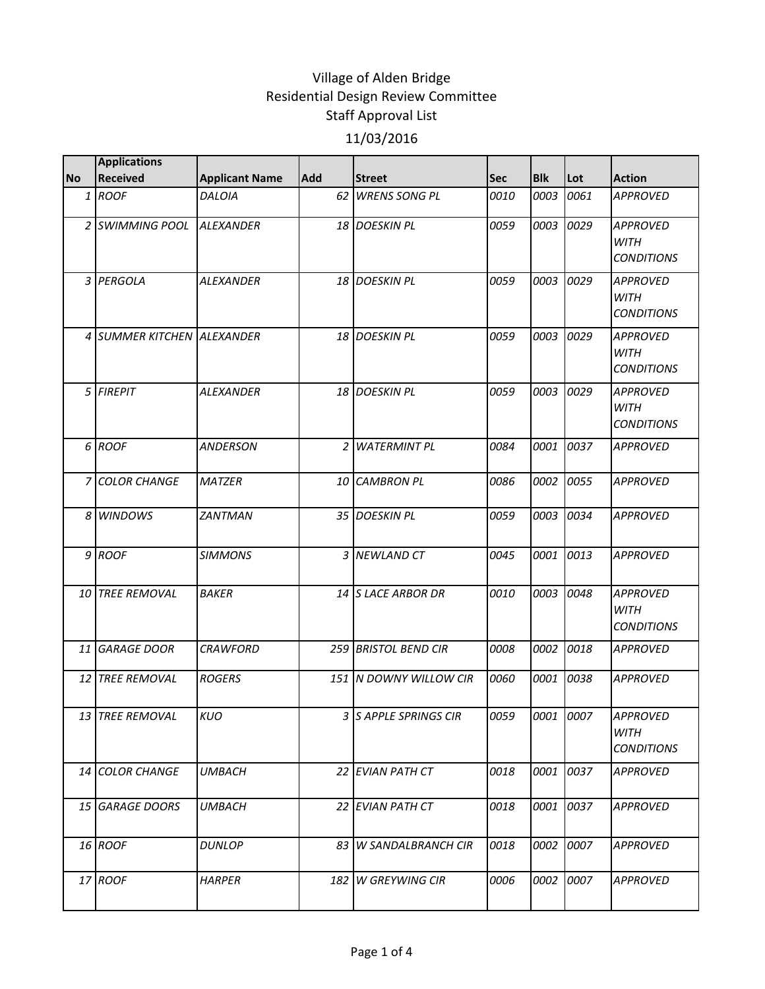| <b>Applications</b>    |                                                            |                            |                         |                                                                                                                                                    |            |           |                                                     |
|------------------------|------------------------------------------------------------|----------------------------|-------------------------|----------------------------------------------------------------------------------------------------------------------------------------------------|------------|-----------|-----------------------------------------------------|
| <b>Received</b>        | <b>Applicant Name</b>                                      | Add                        | <b>Street</b>           | Sec                                                                                                                                                | <b>Blk</b> | Lot       | <b>Action</b>                                       |
| <b>ROOF</b>            | DALOIA                                                     | 62                         | <b>WRENS SONG PL</b>    | 0010                                                                                                                                               | 0003       | 0061      | <b>APPROVED</b>                                     |
|                        | ALEXANDER                                                  |                            | <b>DOESKIN PL</b>       | 0059                                                                                                                                               | 0003       | 0029      | <b>APPROVED</b><br><b>WITH</b><br><b>CONDITIONS</b> |
| <b>PERGOLA</b>         | <b>ALEXANDER</b>                                           |                            | <b>DOESKIN PL</b>       | 0059                                                                                                                                               | 0003       | 0029      | <b>APPROVED</b><br><b>WITH</b><br><b>CONDITIONS</b> |
|                        |                                                            |                            | <b>DOESKIN PL</b>       | 0059                                                                                                                                               | 0003       | 0029      | <b>APPROVED</b><br><b>WITH</b><br><b>CONDITIONS</b> |
| <b>FIREPIT</b>         | <b>ALEXANDER</b>                                           | 18                         | <b>DOESKIN PL</b>       | 0059                                                                                                                                               | 0003       | 0029      | <b>APPROVED</b><br><b>WITH</b><br><b>CONDITIONS</b> |
| <b>ROOF</b>            | <b>ANDERSON</b>                                            | 2                          | <b>WATERMINT PL</b>     | 0084                                                                                                                                               | 0001       | 0037      | <b>APPROVED</b>                                     |
| <b>COLOR CHANGE</b>    | <b>MATZER</b>                                              | 10                         | <b>CAMBRON PL</b>       | 0086                                                                                                                                               | 0002       | 0055      | <b>APPROVED</b>                                     |
| <b>WINDOWS</b>         | ZANTMAN                                                    |                            |                         | 0059                                                                                                                                               | 0003       | 0034      | <b>APPROVED</b>                                     |
| <b>ROOF</b>            | <b>SIMMONS</b>                                             | 3                          | <b>NEWLAND CT</b>       | 0045                                                                                                                                               | 0001       | 0013      | <b>APPROVED</b>                                     |
| <b>TREE REMOVAL</b>    | <b>BAKER</b>                                               |                            |                         | <i>0010</i>                                                                                                                                        | 0003       | 0048      | <b>APPROVED</b><br><b>WITH</b><br><b>CONDITIONS</b> |
| <b>GARAGE DOOR</b>     | <b>CRAWFORD</b>                                            | 259                        | <b>BRISTOL BEND CIR</b> | 0008                                                                                                                                               | 0002       | 0018      | <b>APPROVED</b>                                     |
| <b>TREE REMOVAL</b>    | <b>ROGERS</b>                                              |                            |                         | 0060                                                                                                                                               | 0001       | 0038      | <b>APPROVED</b>                                     |
|                        | <b>KUO</b>                                                 |                            |                         | 0059                                                                                                                                               |            |           | <b>APPROVED</b><br>WITH<br><b>CONDITIONS</b>        |
| <b>COLOR CHANGE</b>    | <b>UMBACH</b>                                              |                            |                         | 0018                                                                                                                                               | 0001       |           | <b>APPROVED</b>                                     |
|                        | <b>UMBACH</b>                                              |                            |                         | 0018                                                                                                                                               |            |           | <b>APPROVED</b>                                     |
| 16 ROOF                | <b>DUNLOP</b>                                              |                            | 83 W SANDALBRANCH CIR   | 0018                                                                                                                                               |            | 0002 0007 | <b>APPROVED</b>                                     |
|                        |                                                            |                            |                         |                                                                                                                                                    |            |           |                                                     |
| 3<br>6<br>8<br>9<br>14 | <b>SWIMMING POOL</b><br>13 TREE REMOVAL<br>15 GARAGE DOORS | 4 SUMMER KITCHEN ALEXANDER |                         | 18  <br>18<br>18<br>35 DOESKIN PL<br>14 S LACE ARBOR DR<br>151 N DOWNY WILLOW CIR<br>3 S APPLE SPRINGS CIR<br>22 EVIAN PATH CT<br>22 EVIAN PATH CT |            |           | 0001 0007<br>0037<br>0001 0037                      |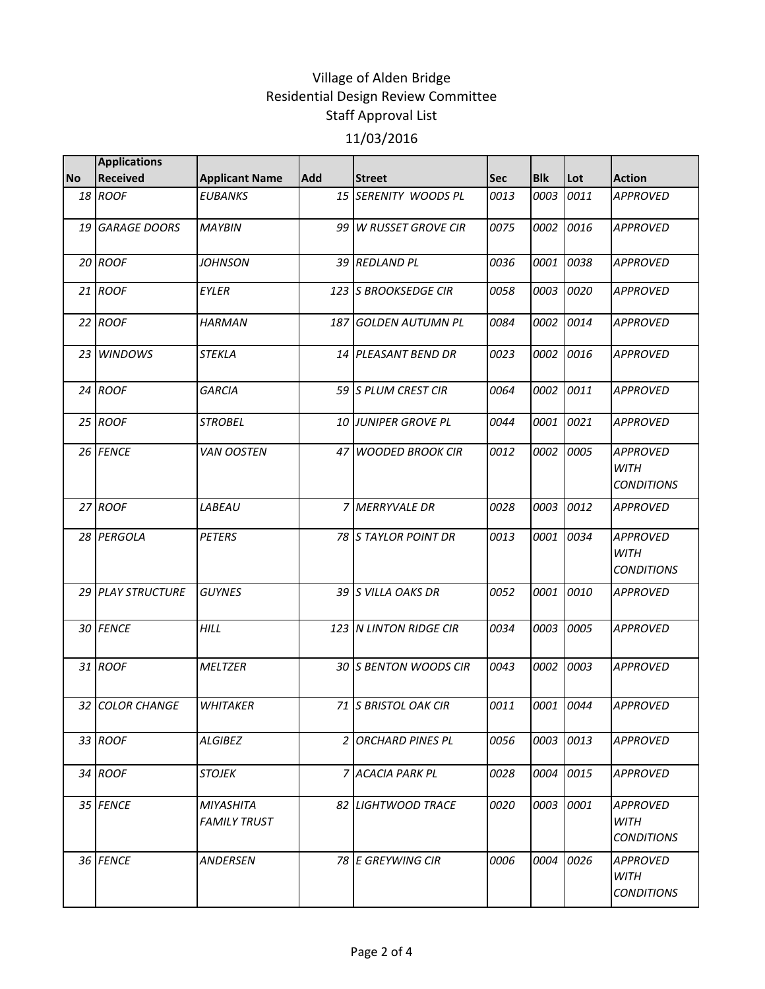|           | <b>Applications</b> |                                  |            |                            |             |            |           |                                                     |
|-----------|---------------------|----------------------------------|------------|----------------------------|-------------|------------|-----------|-----------------------------------------------------|
| <b>No</b> | <b>Received</b>     | <b>Applicant Name</b>            | <b>Add</b> | <b>Street</b>              | Sec         | <b>Blk</b> | Lot       | <b>Action</b>                                       |
|           | 18 ROOF             | <b>EUBANKS</b>                   |            | 15 SERENITY WOODS PL       | 0013        | 0003       | 0011      | <b>APPROVED</b>                                     |
|           | 19 GARAGE DOORS     | <b>MAYBIN</b>                    | 99 I       | <b>W RUSSET GROVE CIR</b>  | 0075        | 0002       | 0016      | <b>APPROVED</b>                                     |
|           | 20 ROOF             | JOHNSON                          |            | 39 REDLAND PL              | 0036        | 0001       | 0038      | <b>APPROVED</b>                                     |
|           | 21 ROOF             | EYLER                            |            | 123 S BROOKSEDGE CIR       | 0058        |            | 0003 0020 | <b>APPROVED</b>                                     |
|           | 22 ROOF             | <b>HARMAN</b>                    | 187        | <b>GOLDEN AUTUMN PL</b>    | 0084        | 0002       | 0014      | <b>APPROVED</b>                                     |
|           | 23 WINDOWS          | STEKLA                           |            | 14 PLEASANT BEND DR        | 0023        | 0002       | 0016      | <b>APPROVED</b>                                     |
|           | 24 ROOF             | <b>GARCIA</b>                    |            | 59 S PLUM CREST CIR        | 0064        | 0002       | 0011      | <b>APPROVED</b>                                     |
|           | 25 ROOF             | <b>STROBEL</b>                   |            | <b>10 JUNIPER GROVE PL</b> | 0044        | 0001       | 0021      | <b>APPROVED</b>                                     |
|           | 26 FENCE            | <b>VAN OOSTEN</b>                | 47 I       | <b>WOODED BROOK CIR</b>    | 0012        | 0002       | 0005      | <b>APPROVED</b><br><b>WITH</b><br><b>CONDITIONS</b> |
|           | 27 ROOF             | LABEAU                           |            | 7 MERRYVALE DR             | 0028        | 0003       | 0012      | <b>APPROVED</b>                                     |
|           | 28 PERGOLA          | <b>PETERS</b>                    |            | 78 S TAYLOR POINT DR       | 0013        |            | 0001 0034 | <b>APPROVED</b><br><b>WITH</b><br><b>CONDITIONS</b> |
|           | 29 PLAY STRUCTURE   | <b>GUYNES</b>                    |            | 39 S VILLA OAKS DR         | 0052        | 0001       | 0010      | <b>APPROVED</b>                                     |
|           | 30 FENCE            | <b>HILL</b>                      |            | 123 N LINTON RIDGE CIR     | 0034        |            | 0003 0005 | <b>APPROVED</b>                                     |
|           | 31 ROOF             | <b>MELTZER</b>                   |            | 30 S BENTON WOODS CIR      | 0043        |            | 0002 0003 | <b>APPROVED</b>                                     |
|           | 32 COLOR CHANGE     | <b>WHITAKER</b>                  |            | 71 S BRISTOL OAK CIR       | 0011        | 0001       | 0044      | <b>APPROVED</b>                                     |
|           | 33 ROOF             | ALGIBEZ                          |            | 2 ORCHARD PINES PL         | 0056        |            | 0003 0013 | <b>APPROVED</b>                                     |
|           | 34 ROOF             | <b>STOJEK</b>                    |            | 7 ACACIA PARK PL           | 0028        |            | 0004 0015 | <b>APPROVED</b>                                     |
|           | 35 FENCE            | MIYASHITA<br><b>FAMILY TRUST</b> |            | 82 LIGHTWOOD TRACE         | 0020        |            | 0003 0001 | <b>APPROVED</b><br><b>WITH</b><br><b>CONDITIONS</b> |
|           | 36 FENCE            | ANDERSEN                         |            | 78 E GREYWING CIR          | <i>0006</i> | 0004       | 0026      | <b>APPROVED</b><br><b>WITH</b><br><b>CONDITIONS</b> |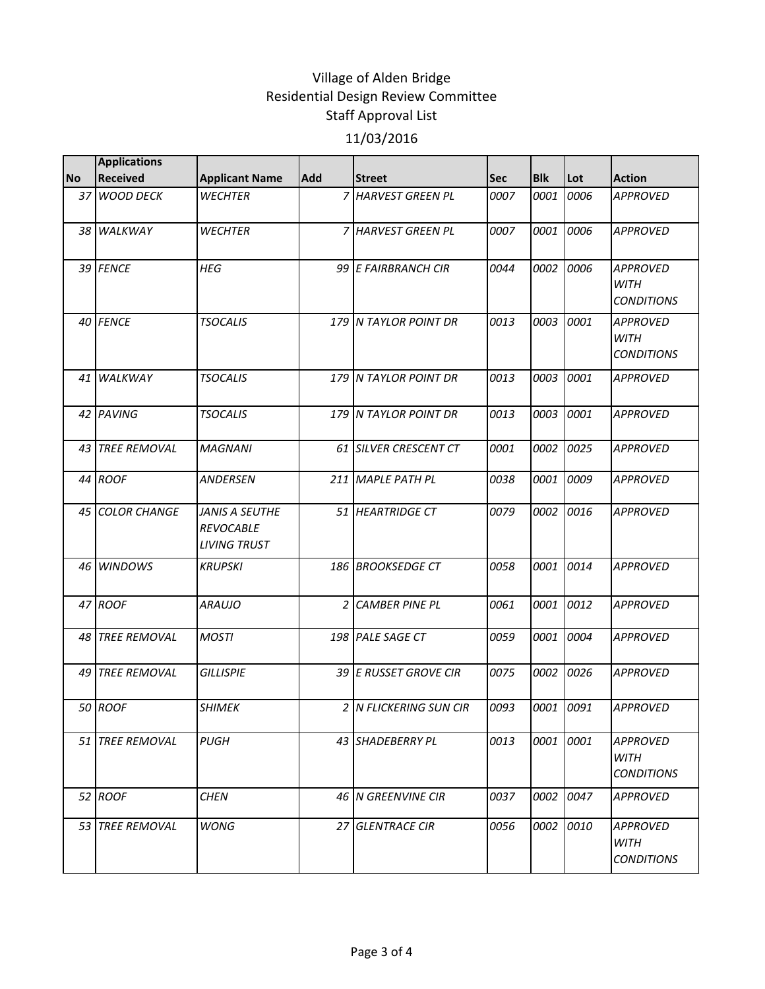| <b>No</b> | <b>Applications</b><br><b>Received</b> | <b>Applicant Name</b>                                     | <b>Add</b> | <b>Street</b>           | <b>Sec</b> | <b>Blk</b> | Lot  | <b>Action</b>                                       |
|-----------|----------------------------------------|-----------------------------------------------------------|------------|-------------------------|------------|------------|------|-----------------------------------------------------|
|           | 37 WOOD DECK                           | <b>WECHTER</b>                                            |            | <b>HARVEST GREEN PL</b> | 0007       | 0001       | 0006 | <b>APPROVED</b>                                     |
|           | 38 WALKWAY                             | <b>WECHTER</b>                                            | 7          | <b>HARVEST GREEN PL</b> | 0007       | 0001       | 0006 | <b>APPROVED</b>                                     |
|           | 39 FENCE                               | HEG                                                       |            | 99 E FAIRBRANCH CIR     | 0044       | 0002       | 0006 | <b>APPROVED</b><br><b>WITH</b><br><b>CONDITIONS</b> |
|           | 40 FENCE                               | <b>TSOCALIS</b>                                           |            | 179 N TAYLOR POINT DR   | 0013       | 0003       | 0001 | <b>APPROVED</b><br><b>WITH</b><br><b>CONDITIONS</b> |
| 41        | <b>WALKWAY</b>                         | <b>TSOCALIS</b>                                           |            | 179 N TAYLOR POINT DR   | 0013       | 0003       | 0001 | <b>APPROVED</b>                                     |
|           | 42 PAVING                              | <b>TSOCALIS</b>                                           |            | 179 N TAYLOR POINT DR   | 0013       | 0003       | 0001 | <b>APPROVED</b>                                     |
| 43        | <b>TREE REMOVAL</b>                    | <b>MAGNANI</b>                                            |            | 61 SILVER CRESCENT CT   | 0001       | 0002       | 0025 | <b>APPROVED</b>                                     |
|           | 44 ROOF                                | ANDERSEN                                                  |            | 211 MAPLE PATH PL       | 0038       | 0001       | 0009 | <b>APPROVED</b>                                     |
|           | 45 COLOR CHANGE                        | JANIS A SEUTHE<br><b>REVOCABLE</b><br><b>LIVING TRUST</b> |            | 51 HEARTRIDGE CT        | 0079       | 0002       | 0016 | <b>APPROVED</b>                                     |
|           | 46 WINDOWS                             | <b>KRUPSKI</b>                                            |            | 186 BROOKSEDGE CT       | 0058       | 0001       | 0014 | <b>APPROVED</b>                                     |
|           | 47 ROOF                                | <i>ARAUJO</i>                                             | 2          | <b>CAMBER PINE PL</b>   | 0061       | 0001       | 0012 | <b>APPROVED</b>                                     |
|           | 48 TREE REMOVAL                        | <b>MOSTI</b>                                              |            | 198 PALE SAGE CT        | 0059       | 0001       | 0004 | <b>APPROVED</b>                                     |
| 49        | <b>TREE REMOVAL</b>                    | <b>GILLISPIE</b>                                          |            | 39 E RUSSET GROVE CIR   | 0075       | 0002       | 0026 | <b>APPROVED</b>                                     |
|           | 50 ROOF                                | <b>SHIMEK</b>                                             |            | 2 IN FLICKERING SUN CIR | 0093       | 0001       | 0091 | <b>APPROVED</b>                                     |
|           | 51 TREE REMOVAL                        | <b>PUGH</b>                                               |            | 43 SHADEBERRY PL        | 0013       | 0001       | 0001 | <b>APPROVED</b><br><b>WITH</b><br><b>CONDITIONS</b> |
|           | 52 ROOF                                | <b>CHEN</b>                                               |            | 46 N GREENVINE CIR      | 0037       | 0002       | 0047 | <b>APPROVED</b>                                     |
|           | 53 ITREE REMOVAL                       | WONG                                                      |            | <b>27 GLENTRACE CIR</b> | 0056       | 0002       | 0010 | APPROVED<br><b>WITH</b><br><b>CONDITIONS</b>        |